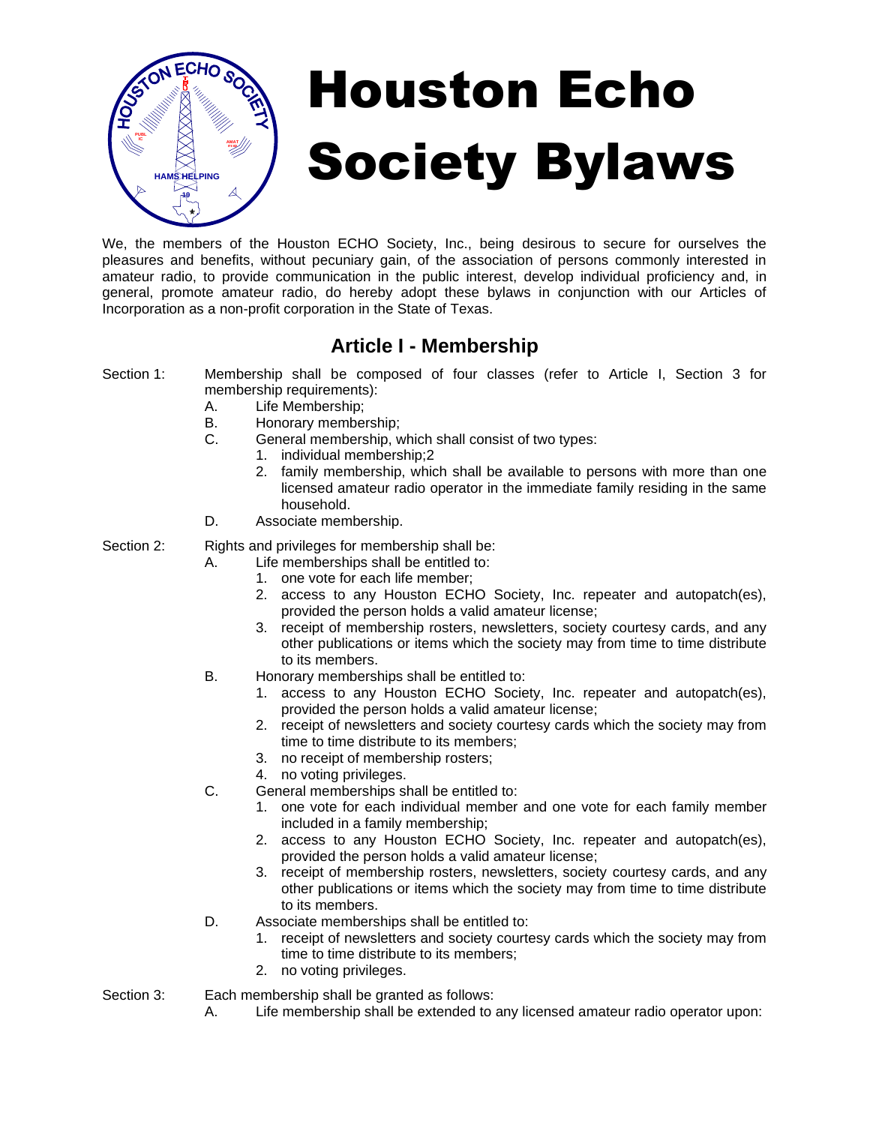

# Houston Echo Society Bylaws

We, the members of the Houston ECHO Society, Inc., being desirous to secure for ourselves the pleasures and benefits, without pecuniary gain, of the association of persons commonly interested in amateur radio, to provide communication in the public interest, develop individual proficiency and, in general, promote amateur radio, do hereby adopt these bylaws in conjunction with our Articles of Incorporation as a non-profit corporation in the State of Texas.

## **Article I - Membership**

- Section 1: Membership shall be composed of four classes (refer to Article I, Section 3 for membership requirements):
	- A. Life Membership;
	- B. Honorary membership;
	- C. General membership, which shall consist of two types:
		- 1. individual membership;2
		- 2. family membership, which shall be available to persons with more than one licensed amateur radio operator in the immediate family residing in the same household.
	- D. Associate membership.

Section 2: Rights and privileges for membership shall be:

- A. Life memberships shall be entitled to:
	- 1. one vote for each life member;
	- 2. access to any Houston ECHO Society, Inc. repeater and autopatch(es), provided the person holds a valid amateur license;
	- 3. receipt of membership rosters, newsletters, society courtesy cards, and any other publications or items which the society may from time to time distribute to its members.
- B. Honorary memberships shall be entitled to:
	- 1. access to any Houston ECHO Society, Inc. repeater and autopatch(es), provided the person holds a valid amateur license;
	- 2. receipt of newsletters and society courtesy cards which the society may from time to time distribute to its members;
	- 3. no receipt of membership rosters;
	- 4. no voting privileges.
- C. General memberships shall be entitled to:
	- 1. one vote for each individual member and one vote for each family member included in a family membership;
	- 2. access to any Houston ECHO Society, Inc. repeater and autopatch(es), provided the person holds a valid amateur license;
	- 3. receipt of membership rosters, newsletters, society courtesy cards, and any other publications or items which the society may from time to time distribute to its members.
- D. Associate memberships shall be entitled to:
	- 1. receipt of newsletters and society courtesy cards which the society may from time to time distribute to its members;
	- 2. no voting privileges.
- 

Section 3: Each membership shall be granted as follows:

A. Life membership shall be extended to any licensed amateur radio operator upon: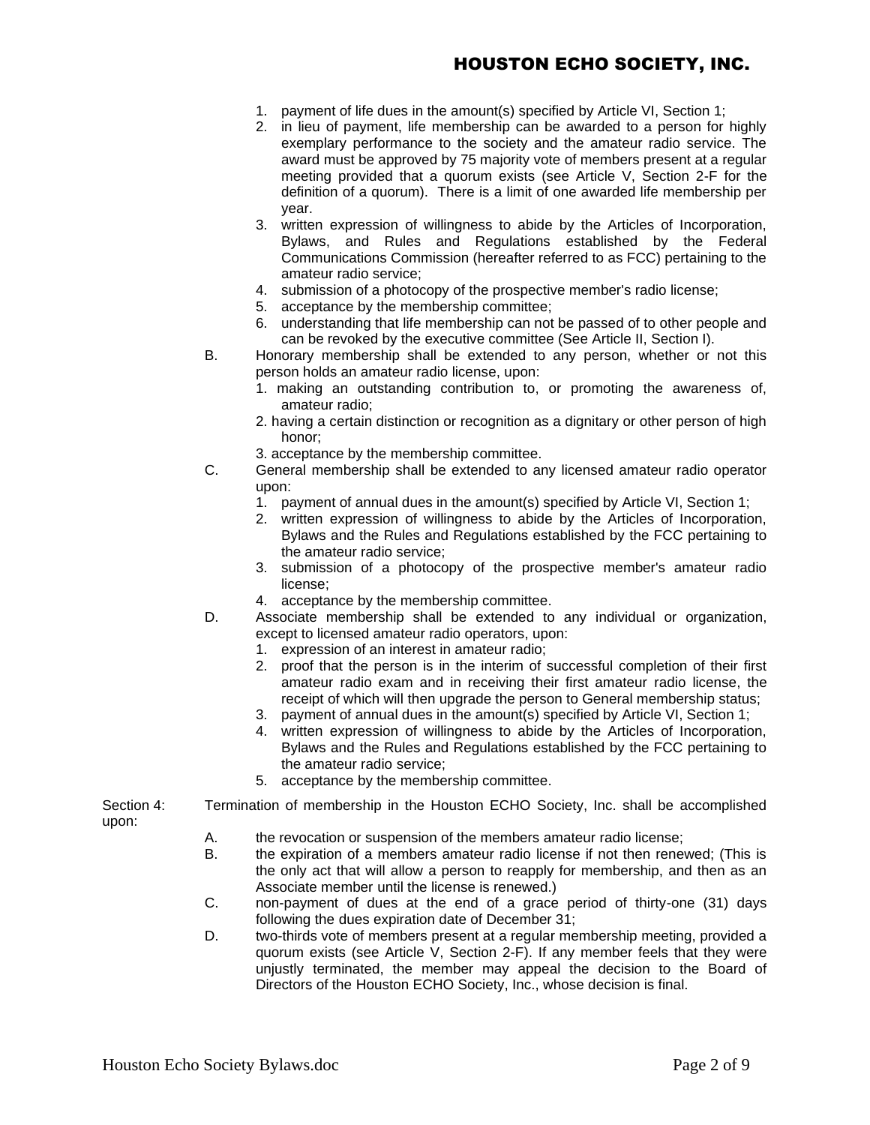- 1. payment of life dues in the amount(s) specified by Article VI, Section 1;
- 2. in lieu of payment, life membership can be awarded to a person for highly exemplary performance to the society and the amateur radio service. The award must be approved by 75 majority vote of members present at a regular meeting provided that a quorum exists (see Article V, Section 2-F for the definition of a quorum). There is a limit of one awarded life membership per year.
- 3. written expression of willingness to abide by the Articles of Incorporation, Bylaws, and Rules and Regulations established by the Federal Communications Commission (hereafter referred to as FCC) pertaining to the amateur radio service;
- 4. submission of a photocopy of the prospective member's radio license;
- 5. acceptance by the membership committee;
- 6. understanding that life membership can not be passed of to other people and can be revoked by the executive committee (See Article II, Section I).
- B. Honorary membership shall be extended to any person, whether or not this person holds an amateur radio license, upon:
	- 1. making an outstanding contribution to, or promoting the awareness of, amateur radio;
	- 2. having a certain distinction or recognition as a dignitary or other person of high honor;
	- 3. acceptance by the membership committee.
- C. General membership shall be extended to any licensed amateur radio operator upon:
	- 1. payment of annual dues in the amount(s) specified by Article VI, Section 1;
	- 2. written expression of willingness to abide by the Articles of Incorporation, Bylaws and the Rules and Regulations established by the FCC pertaining to the amateur radio service;
	- 3. submission of a photocopy of the prospective member's amateur radio license;
	- 4. acceptance by the membership committee.
- D. Associate membership shall be extended to any individual or organization, except to licensed amateur radio operators, upon:
	- 1. expression of an interest in amateur radio;
	- 2. proof that the person is in the interim of successful completion of their first amateur radio exam and in receiving their first amateur radio license, the receipt of which will then upgrade the person to General membership status;
	- 3. payment of annual dues in the amount(s) specified by Article VI, Section 1;
	- 4. written expression of willingness to abide by the Articles of Incorporation, Bylaws and the Rules and Regulations established by the FCC pertaining to the amateur radio service;
	- 5. acceptance by the membership committee.

Section 4: Termination of membership in the Houston ECHO Society, Inc. shall be accomplished upon:

- A. the revocation or suspension of the members amateur radio license;
- B. the expiration of a members amateur radio license if not then renewed; (This is the only act that will allow a person to reapply for membership, and then as an Associate member until the license is renewed.)
- C. non-payment of dues at the end of a grace period of thirty-one (31) days following the dues expiration date of December 31;
- D. two-thirds vote of members present at a regular membership meeting, provided a quorum exists (see Article V, Section 2-F). If any member feels that they were unjustly terminated, the member may appeal the decision to the Board of Directors of the Houston ECHO Society, Inc., whose decision is final.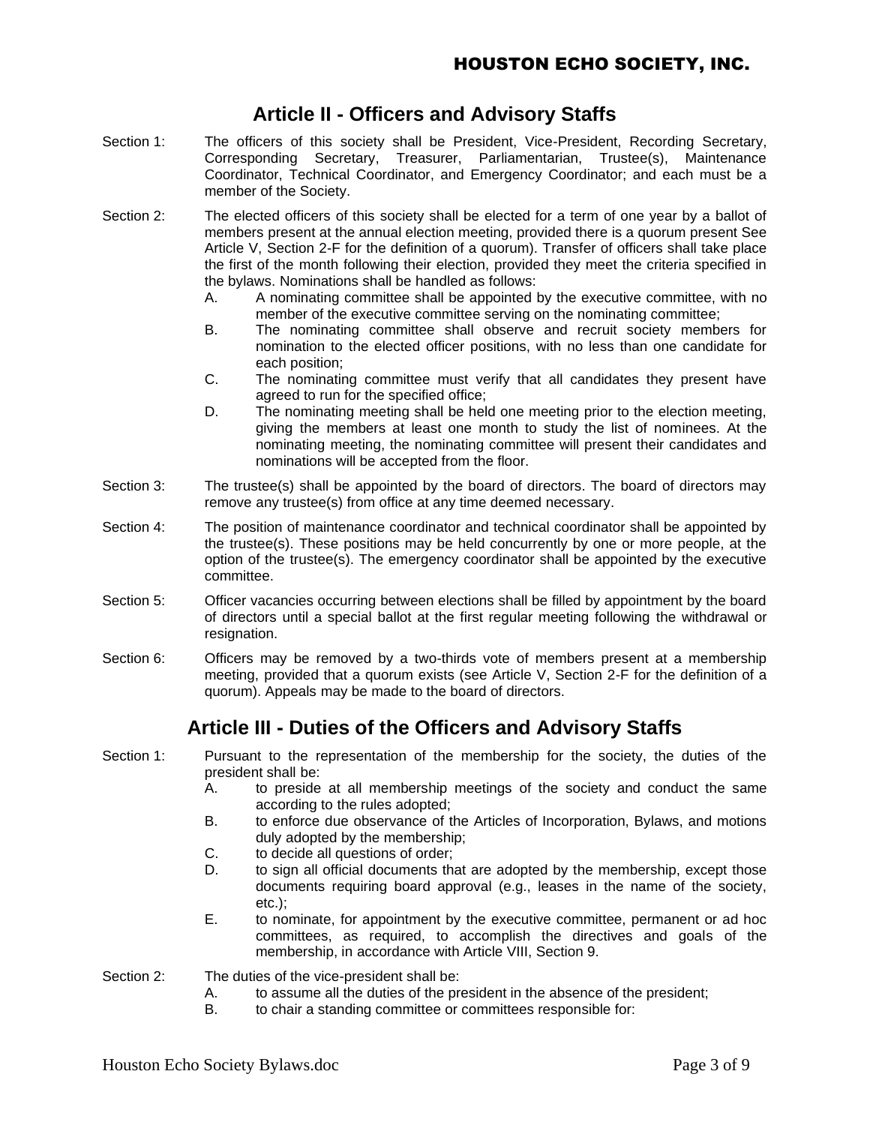## **Article II - Officers and Advisory Staffs**

- Section 1: The officers of this society shall be President, Vice-President, Recording Secretary, Corresponding Secretary, Treasurer, Parliamentarian, Trustee(s), Maintenance Coordinator, Technical Coordinator, and Emergency Coordinator; and each must be a member of the Society.
- Section 2: The elected officers of this society shall be elected for a term of one year by a ballot of members present at the annual election meeting, provided there is a quorum present See Article V, Section 2-F for the definition of a quorum). Transfer of officers shall take place the first of the month following their election, provided they meet the criteria specified in the bylaws. Nominations shall be handled as follows:
	- A. A nominating committee shall be appointed by the executive committee, with no member of the executive committee serving on the nominating committee;
	- B. The nominating committee shall observe and recruit society members for nomination to the elected officer positions, with no less than one candidate for each position;
	- C. The nominating committee must verify that all candidates they present have agreed to run for the specified office;
	- D. The nominating meeting shall be held one meeting prior to the election meeting, giving the members at least one month to study the list of nominees. At the nominating meeting, the nominating committee will present their candidates and nominations will be accepted from the floor.
- Section 3: The trustee(s) shall be appointed by the board of directors. The board of directors may remove any trustee(s) from office at any time deemed necessary.
- Section 4: The position of maintenance coordinator and technical coordinator shall be appointed by the trustee(s). These positions may be held concurrently by one or more people, at the option of the trustee(s). The emergency coordinator shall be appointed by the executive committee.
- Section 5: Officer vacancies occurring between elections shall be filled by appointment by the board of directors until a special ballot at the first regular meeting following the withdrawal or resignation.
- Section 6: Chicers may be removed by a two-thirds vote of members present at a membership meeting, provided that a quorum exists (see Article V, Section 2-F for the definition of a quorum). Appeals may be made to the board of directors.

## **Article III - Duties of the Officers and Advisory Staffs**

- Section 1: Pursuant to the representation of the membership for the society, the duties of the president shall be:
	- A. to preside at all membership meetings of the society and conduct the same according to the rules adopted;
	- B. to enforce due observance of the Articles of Incorporation, Bylaws, and motions duly adopted by the membership;
	- C. to decide all questions of order;
	- D. to sign all official documents that are adopted by the membership, except those documents requiring board approval (e.g., leases in the name of the society, etc.);
	- E. to nominate, for appointment by the executive committee, permanent or ad hoc committees, as required, to accomplish the directives and goals of the membership, in accordance with Article VIII, Section 9.
- Section 2: The duties of the vice-president shall be:
	- A. to assume all the duties of the president in the absence of the president;
	- B. to chair a standing committee or committees responsible for: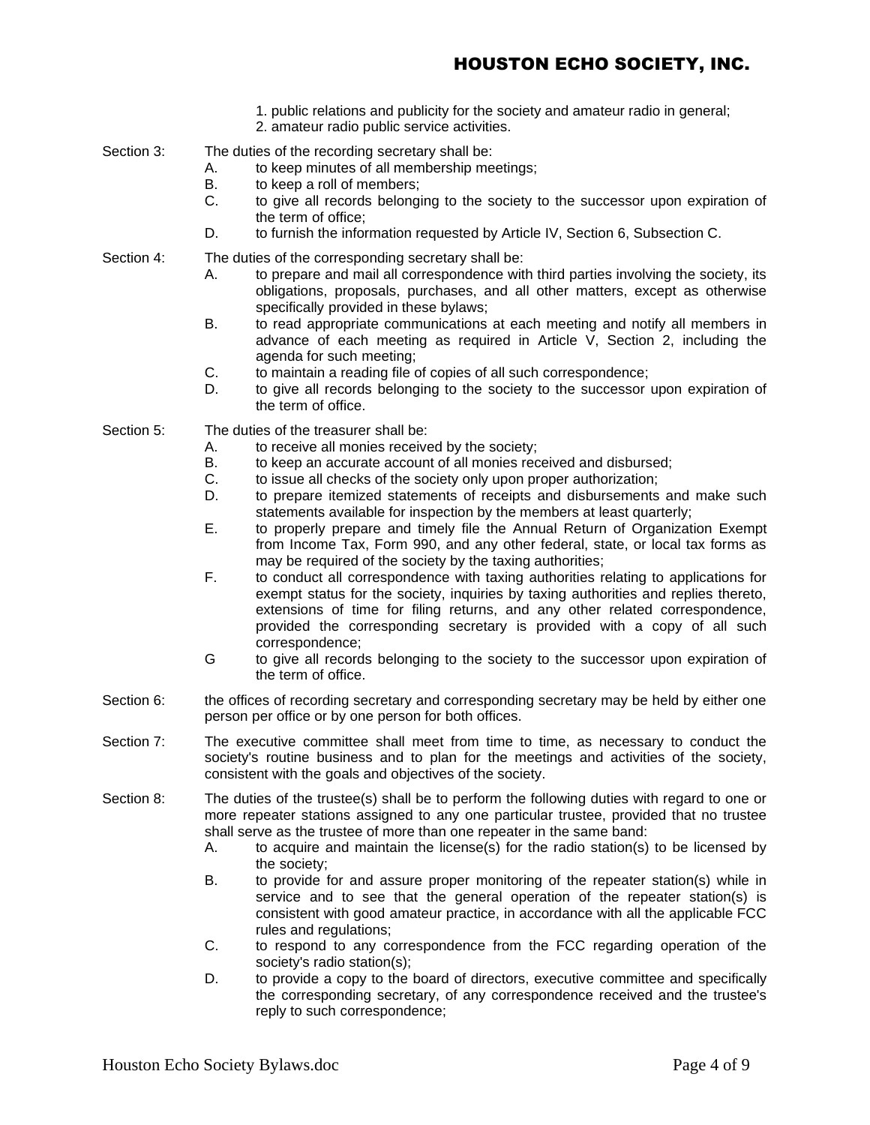- 1. public relations and publicity for the society and amateur radio in general;
- 2. amateur radio public service activities.
- Section 3: The duties of the recording secretary shall be:
	- A. to keep minutes of all membership meetings;
	- B. to keep a roll of members;
	- C. to give all records belonging to the society to the successor upon expiration of the term of office;
	- D. to furnish the information requested by Article IV, Section 6, Subsection C.

- Section 4: The duties of the corresponding secretary shall be:
	- A. to prepare and mail all correspondence with third parties involving the society, its obligations, proposals, purchases, and all other matters, except as otherwise specifically provided in these bylaws;
	- B. to read appropriate communications at each meeting and notify all members in advance of each meeting as required in Article V, Section 2, including the agenda for such meeting;
	- C. to maintain a reading file of copies of all such correspondence;
	- D. to give all records belonging to the society to the successor upon expiration of the term of office.

Section 5: The duties of the treasurer shall be:

- A. to receive all monies received by the society;
- B. to keep an accurate account of all monies received and disbursed;
- C. to issue all checks of the society only upon proper authorization;
- D. to prepare itemized statements of receipts and disbursements and make such statements available for inspection by the members at least quarterly;
- E. to properly prepare and timely file the Annual Return of Organization Exempt from Income Tax, Form 990, and any other federal, state, or local tax forms as may be required of the society by the taxing authorities;
- F. to conduct all correspondence with taxing authorities relating to applications for exempt status for the society, inquiries by taxing authorities and replies thereto, extensions of time for filing returns, and any other related correspondence, provided the corresponding secretary is provided with a copy of all such correspondence;
- G to give all records belonging to the society to the successor upon expiration of the term of office.
- Section 6: the offices of recording secretary and corresponding secretary may be held by either one person per office or by one person for both offices.
- Section 7: The executive committee shall meet from time to time, as necessary to conduct the society's routine business and to plan for the meetings and activities of the society, consistent with the goals and objectives of the society.
- Section 8: The duties of the trustee(s) shall be to perform the following duties with regard to one or more repeater stations assigned to any one particular trustee, provided that no trustee shall serve as the trustee of more than one repeater in the same band:
	- A. to acquire and maintain the license(s) for the radio station(s) to be licensed by the society;
	- B. to provide for and assure proper monitoring of the repeater station(s) while in service and to see that the general operation of the repeater station(s) is consistent with good amateur practice, in accordance with all the applicable FCC rules and regulations;
	- C. to respond to any correspondence from the FCC regarding operation of the society's radio station(s);
	- D. to provide a copy to the board of directors, executive committee and specifically the corresponding secretary, of any correspondence received and the trustee's reply to such correspondence;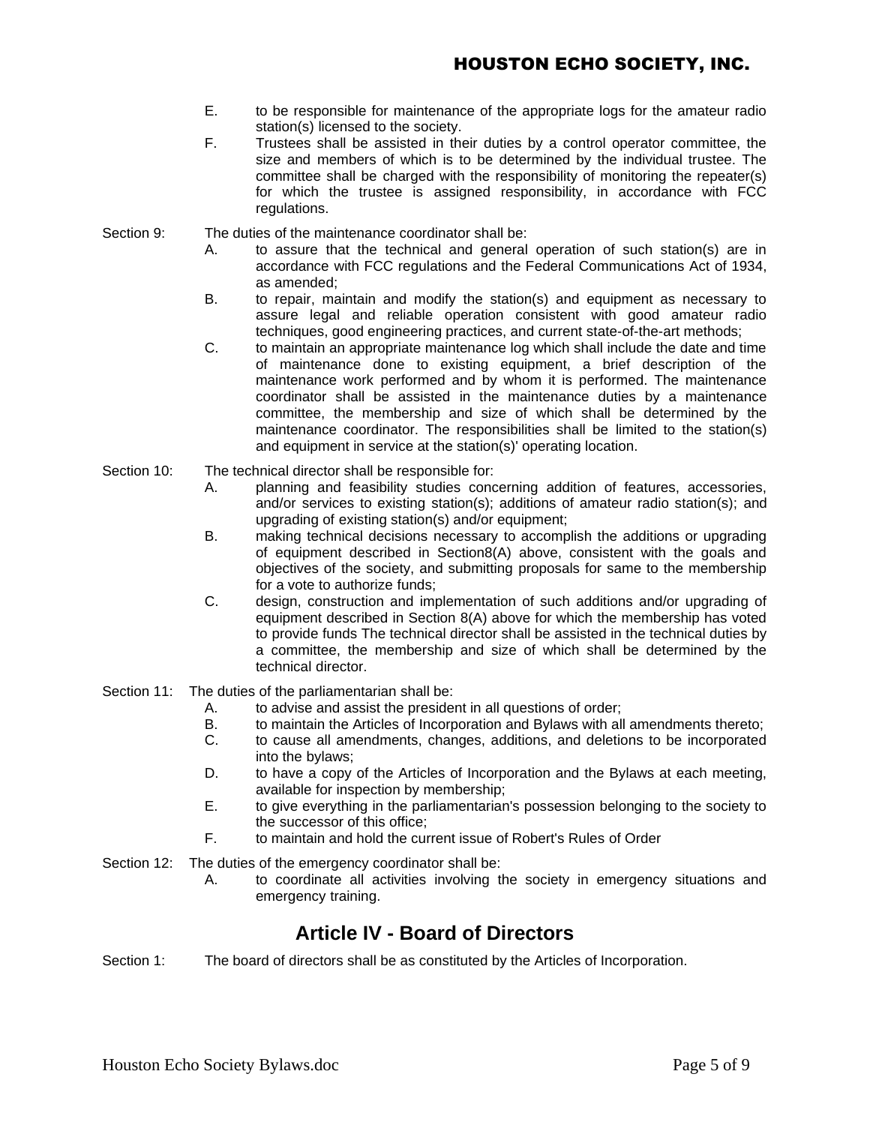- E. to be responsible for maintenance of the appropriate logs for the amateur radio station(s) licensed to the society.
- F. Trustees shall be assisted in their duties by a control operator committee, the size and members of which is to be determined by the individual trustee. The committee shall be charged with the responsibility of monitoring the repeater(s) for which the trustee is assigned responsibility, in accordance with FCC regulations.

Section 9: The duties of the maintenance coordinator shall be:

- A. to assure that the technical and general operation of such station(s) are in accordance with FCC regulations and the Federal Communications Act of 1934, as amended;
- B. to repair, maintain and modify the station(s) and equipment as necessary to assure legal and reliable operation consistent with good amateur radio techniques, good engineering practices, and current state-of-the-art methods;
- C. to maintain an appropriate maintenance log which shall include the date and time of maintenance done to existing equipment, a brief description of the maintenance work performed and by whom it is performed. The maintenance coordinator shall be assisted in the maintenance duties by a maintenance committee, the membership and size of which shall be determined by the maintenance coordinator. The responsibilities shall be limited to the station(s) and equipment in service at the station(s)' operating location.
- Section 10: The technical director shall be responsible for:
	- A. planning and feasibility studies concerning addition of features, accessories, and/or services to existing station(s); additions of amateur radio station(s); and upgrading of existing station(s) and/or equipment;
	- B. making technical decisions necessary to accomplish the additions or upgrading of equipment described in Section8(A) above, consistent with the goals and objectives of the society, and submitting proposals for same to the membership for a vote to authorize funds;
	- C. design, construction and implementation of such additions and/or upgrading of equipment described in Section 8(A) above for which the membership has voted to provide funds The technical director shall be assisted in the technical duties by a committee, the membership and size of which shall be determined by the technical director.
- Section 11: The duties of the parliamentarian shall be:
	- A. to advise and assist the president in all questions of order;
	- B. to maintain the Articles of Incorporation and Bylaws with all amendments thereto;
	- C. to cause all amendments, changes, additions, and deletions to be incorporated into the bylaws;
	- D. to have a copy of the Articles of Incorporation and the Bylaws at each meeting, available for inspection by membership;
	- E. to give everything in the parliamentarian's possession belonging to the society to the successor of this office;
	- F. to maintain and hold the current issue of Robert's Rules of Order
- Section 12: The duties of the emergency coordinator shall be:
	- A. to coordinate all activities involving the society in emergency situations and emergency training.

## **Article IV - Board of Directors**

Section 1: The board of directors shall be as constituted by the Articles of Incorporation.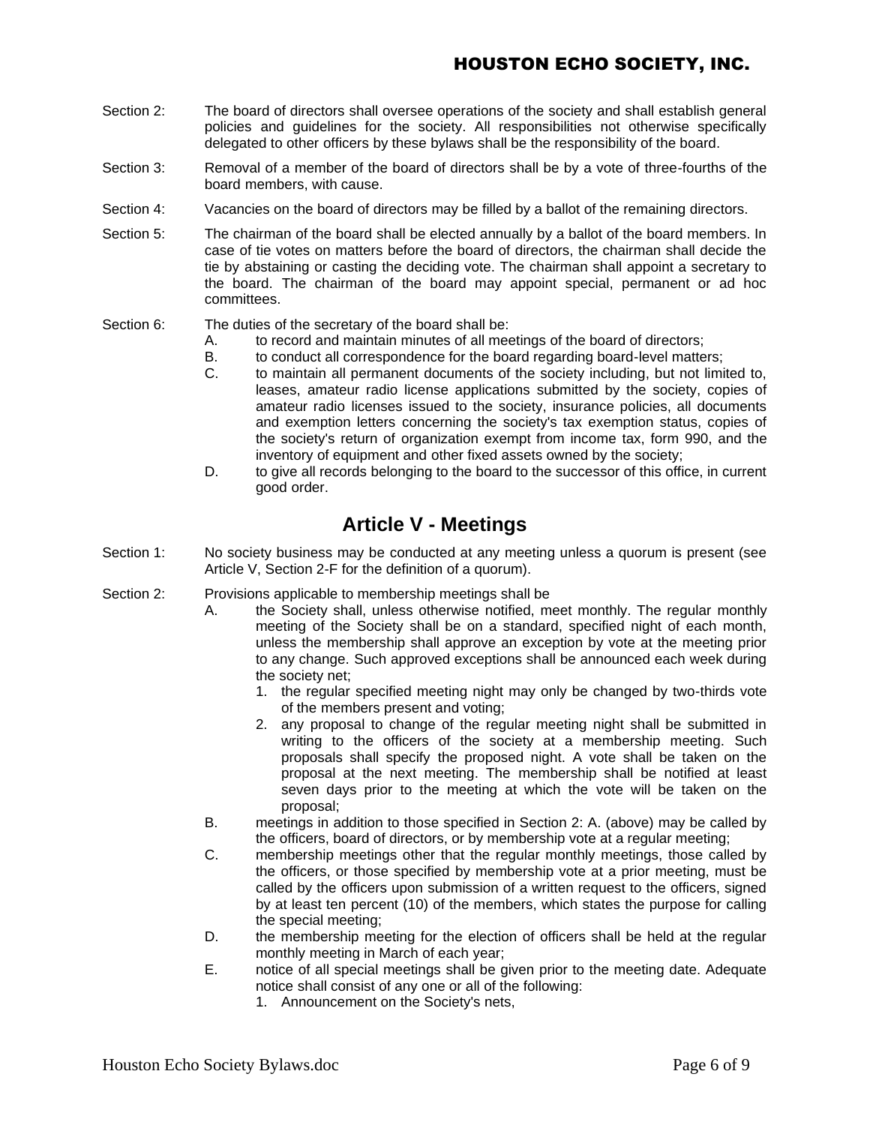- Section 2: The board of directors shall oversee operations of the society and shall establish general policies and guidelines for the society. All responsibilities not otherwise specifically delegated to other officers by these bylaws shall be the responsibility of the board.
- Section 3: Removal of a member of the board of directors shall be by a vote of three-fourths of the board members, with cause.
- Section 4: Vacancies on the board of directors may be filled by a ballot of the remaining directors.
- Section 5: The chairman of the board shall be elected annually by a ballot of the board members. In case of tie votes on matters before the board of directors, the chairman shall decide the tie by abstaining or casting the deciding vote. The chairman shall appoint a secretary to the board. The chairman of the board may appoint special, permanent or ad hoc committees.

#### Section 6: The duties of the secretary of the board shall be:

- A. to record and maintain minutes of all meetings of the board of directors;
- B. to conduct all correspondence for the board regarding board-level matters;
- C. to maintain all permanent documents of the society including, but not limited to, leases, amateur radio license applications submitted by the society, copies of amateur radio licenses issued to the society, insurance policies, all documents and exemption letters concerning the society's tax exemption status, copies of the society's return of organization exempt from income tax, form 990, and the inventory of equipment and other fixed assets owned by the society;
- D. to give all records belonging to the board to the successor of this office, in current good order.

## **Article V - Meetings**

- Section 1: No society business may be conducted at any meeting unless a quorum is present (see Article V, Section 2-F for the definition of a quorum).
- Section 2: Provisions applicable to membership meetings shall be
	- A. the Society shall, unless otherwise notified, meet monthly. The regular monthly meeting of the Society shall be on a standard, specified night of each month, unless the membership shall approve an exception by vote at the meeting prior to any change. Such approved exceptions shall be announced each week during the society net;
		- 1. the regular specified meeting night may only be changed by two-thirds vote of the members present and voting;
		- 2. any proposal to change of the regular meeting night shall be submitted in writing to the officers of the society at a membership meeting. Such proposals shall specify the proposed night. A vote shall be taken on the proposal at the next meeting. The membership shall be notified at least seven days prior to the meeting at which the vote will be taken on the proposal;
	- B. meetings in addition to those specified in Section 2: A. (above) may be called by the officers, board of directors, or by membership vote at a regular meeting;
	- C. membership meetings other that the regular monthly meetings, those called by the officers, or those specified by membership vote at a prior meeting, must be called by the officers upon submission of a written request to the officers, signed by at least ten percent (10) of the members, which states the purpose for calling the special meeting;
	- D. the membership meeting for the election of officers shall be held at the regular monthly meeting in March of each year;
	- E. notice of all special meetings shall be given prior to the meeting date. Adequate notice shall consist of any one or all of the following:
		- 1. Announcement on the Society's nets,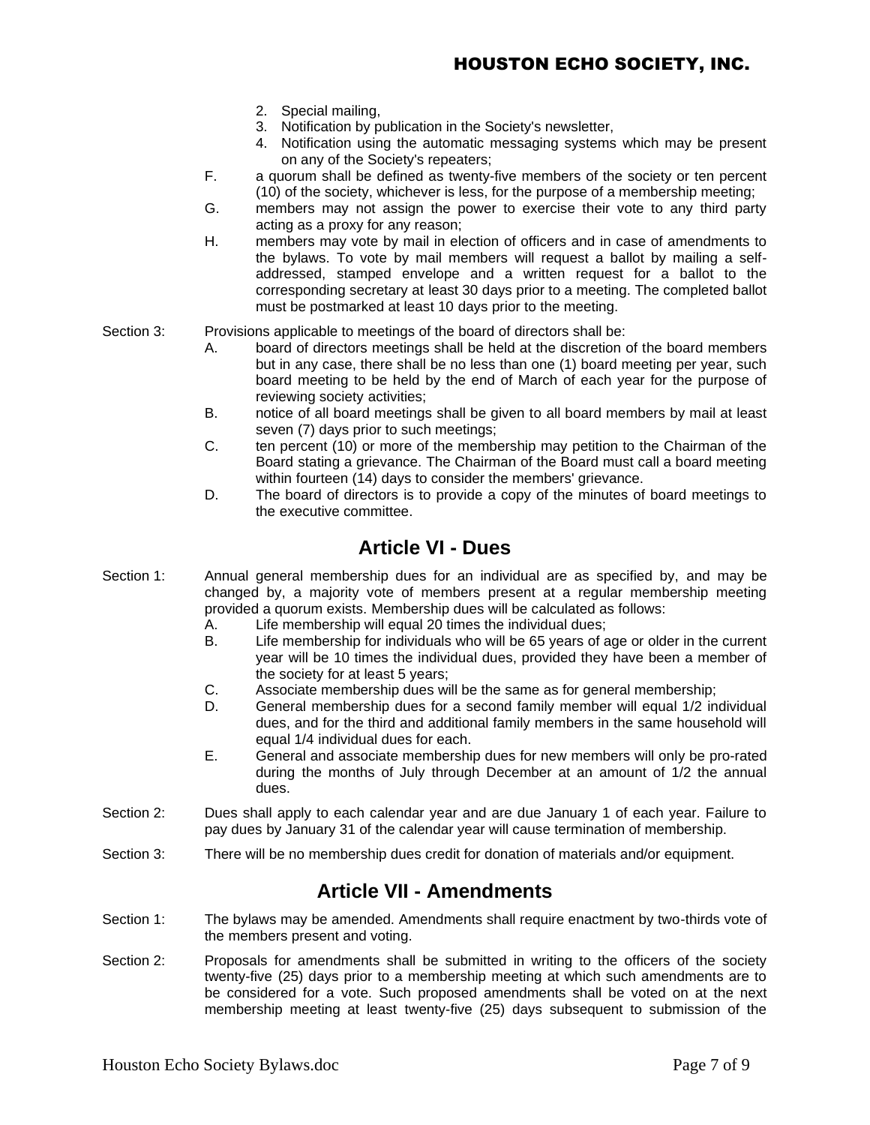- 2. Special mailing,
- 3. Notification by publication in the Society's newsletter,
- 4. Notification using the automatic messaging systems which may be present on any of the Society's repeaters;
- F. a quorum shall be defined as twenty-five members of the society or ten percent (10) of the society, whichever is less, for the purpose of a membership meeting;
- G. members may not assign the power to exercise their vote to any third party acting as a proxy for any reason;
- H. members may vote by mail in election of officers and in case of amendments to the bylaws. To vote by mail members will request a ballot by mailing a selfaddressed, stamped envelope and a written request for a ballot to the corresponding secretary at least 30 days prior to a meeting. The completed ballot must be postmarked at least 10 days prior to the meeting.
- Section 3: Provisions applicable to meetings of the board of directors shall be:
	- A. board of directors meetings shall be held at the discretion of the board members but in any case, there shall be no less than one (1) board meeting per year, such board meeting to be held by the end of March of each year for the purpose of reviewing society activities;
	- B. notice of all board meetings shall be given to all board members by mail at least seven (7) days prior to such meetings;
	- C. ten percent (10) or more of the membership may petition to the Chairman of the Board stating a grievance. The Chairman of the Board must call a board meeting within fourteen (14) days to consider the members' grievance.
	- D. The board of directors is to provide a copy of the minutes of board meetings to the executive committee.

### **Article VI - Dues**

- Section 1: Annual general membership dues for an individual are as specified by, and may be changed by, a majority vote of members present at a regular membership meeting provided a quorum exists. Membership dues will be calculated as follows:
	- A. Life membership will equal 20 times the individual dues;
	- B. Life membership for individuals who will be 65 years of age or older in the current year will be 10 times the individual dues, provided they have been a member of the society for at least 5 years;
	- C. Associate membership dues will be the same as for general membership;
	- D. General membership dues for a second family member will equal 1/2 individual dues, and for the third and additional family members in the same household will equal 1/4 individual dues for each.
	- E. General and associate membership dues for new members will only be pro-rated during the months of July through December at an amount of 1/2 the annual dues.
- Section 2: Dues shall apply to each calendar year and are due January 1 of each year. Failure to pay dues by January 31 of the calendar year will cause termination of membership.
- Section 3: There will be no membership dues credit for donation of materials and/or equipment.

## **Article VII - Amendments**

- Section 1: The bylaws may be amended. Amendments shall require enactment by two-thirds vote of the members present and voting.
- Section 2: Proposals for amendments shall be submitted in writing to the officers of the society twenty-five (25) days prior to a membership meeting at which such amendments are to be considered for a vote. Such proposed amendments shall be voted on at the next membership meeting at least twenty-five (25) days subsequent to submission of the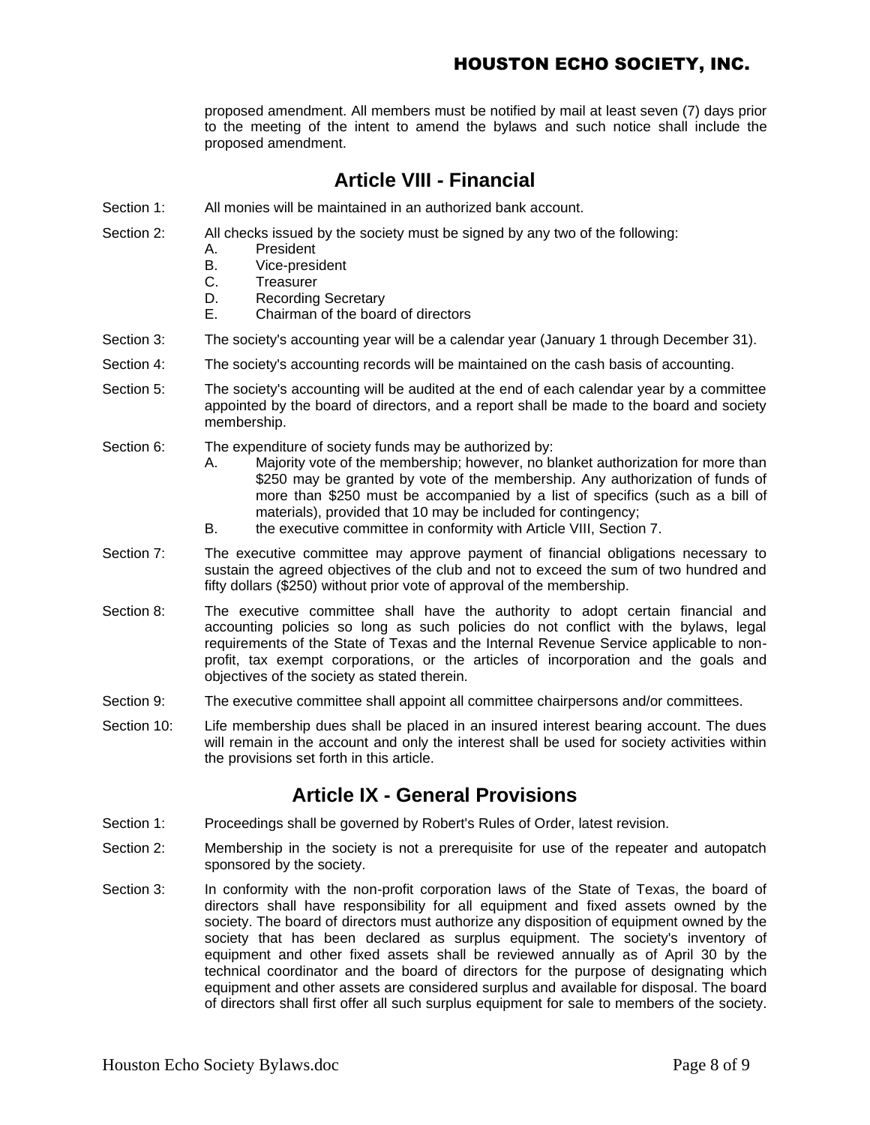proposed amendment. All members must be notified by mail at least seven (7) days prior to the meeting of the intent to amend the bylaws and such notice shall include the proposed amendment.

## **Article VIII - Financial**

- Section 1: All monies will be maintained in an authorized bank account.
- Section 2: All checks issued by the society must be signed by any two of the following:
	- A. President
	- B. Vice-president
	- C. Treasurer
	- D. Recording Secretary
	- E. Chairman of the board of directors
- Section 3: The society's accounting year will be a calendar year (January 1 through December 31).
- Section 4: The society's accounting records will be maintained on the cash basis of accounting.
- Section 5: The society's accounting will be audited at the end of each calendar year by a committee appointed by the board of directors, and a report shall be made to the board and society membership.
- Section 6: The expenditure of society funds may be authorized by:
	- A. Majority vote of the membership; however, no blanket authorization for more than \$250 may be granted by vote of the membership. Any authorization of funds of more than \$250 must be accompanied by a list of specifics (such as a bill of materials), provided that 10 may be included for contingency;
	- B. the executive committee in conformity with Article VIII, Section 7.
- Section 7: The executive committee may approve payment of financial obligations necessary to sustain the agreed objectives of the club and not to exceed the sum of two hundred and fifty dollars (\$250) without prior vote of approval of the membership.
- Section 8: The executive committee shall have the authority to adopt certain financial and accounting policies so long as such policies do not conflict with the bylaws, legal requirements of the State of Texas and the Internal Revenue Service applicable to nonprofit, tax exempt corporations, or the articles of incorporation and the goals and objectives of the society as stated therein.
- Section 9: The executive committee shall appoint all committee chairpersons and/or committees.
- Section 10: Life membership dues shall be placed in an insured interest bearing account. The dues will remain in the account and only the interest shall be used for society activities within the provisions set forth in this article.

## **Article IX - General Provisions**

- Section 1: Proceedings shall be governed by Robert's Rules of Order, latest revision.
- Section 2: Membership in the society is not a prerequisite for use of the repeater and autopatch sponsored by the society.
- Section 3: In conformity with the non-profit corporation laws of the State of Texas, the board of directors shall have responsibility for all equipment and fixed assets owned by the society. The board of directors must authorize any disposition of equipment owned by the society that has been declared as surplus equipment. The society's inventory of equipment and other fixed assets shall be reviewed annually as of April 30 by the technical coordinator and the board of directors for the purpose of designating which equipment and other assets are considered surplus and available for disposal. The board of directors shall first offer all such surplus equipment for sale to members of the society.